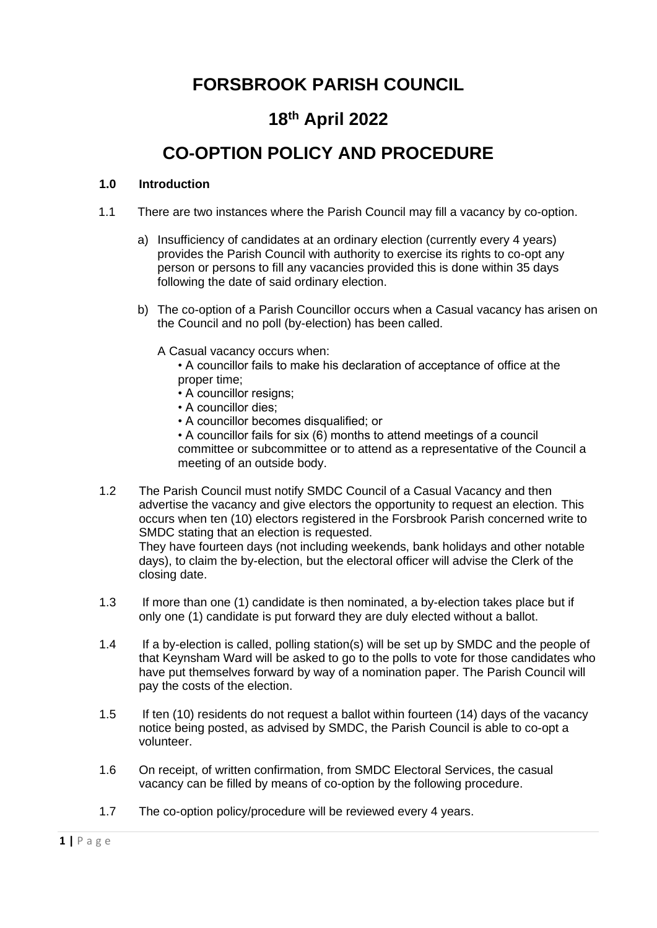# **FORSBROOK PARISH COUNCIL**

## **18th April 2022**

# **CO-OPTION POLICY AND PROCEDURE**

#### **1.0 Introduction**

- 1.1 There are two instances where the Parish Council may fill a vacancy by co-option.
	- a) Insufficiency of candidates at an ordinary election (currently every 4 years) provides the Parish Council with authority to exercise its rights to co-opt any person or persons to fill any vacancies provided this is done within 35 days following the date of said ordinary election.
	- b) The co-option of a Parish Councillor occurs when a Casual vacancy has arisen on the Council and no poll (by-election) has been called.
		- A Casual vacancy occurs when:
			- A councillor fails to make his declaration of acceptance of office at the proper time;
			- A councillor resigns;
			- A councillor dies;
			- A councillor becomes disqualified; or
			- A councillor fails for six (6) months to attend meetings of a council committee or subcommittee or to attend as a representative of the Council a meeting of an outside body.
- 1.2 The Parish Council must notify SMDC Council of a Casual Vacancy and then advertise the vacancy and give electors the opportunity to request an election. This occurs when ten (10) electors registered in the Forsbrook Parish concerned write to SMDC stating that an election is requested.

They have fourteen days (not including weekends, bank holidays and other notable days), to claim the by-election, but the electoral officer will advise the Clerk of the closing date.

- 1.3 If more than one (1) candidate is then nominated, a by-election takes place but if only one (1) candidate is put forward they are duly elected without a ballot.
- 1.4 If a by-election is called, polling station(s) will be set up by SMDC and the people of that Keynsham Ward will be asked to go to the polls to vote for those candidates who have put themselves forward by way of a nomination paper. The Parish Council will pay the costs of the election.
- 1.5 If ten (10) residents do not request a ballot within fourteen (14) days of the vacancy notice being posted, as advised by SMDC, the Parish Council is able to co-opt a volunteer.
- 1.6 On receipt, of written confirmation, from SMDC Electoral Services, the casual vacancy can be filled by means of co-option by the following procedure.
- 1.7 The co-option policy/procedure will be reviewed every 4 years.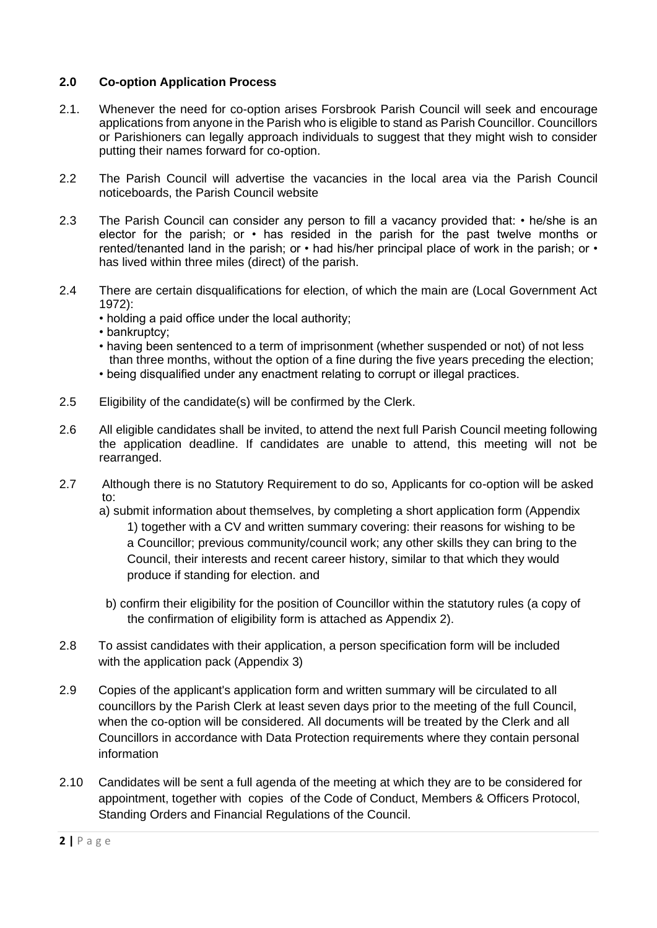#### **2.0 Co-option Application Process**

- 2.1. Whenever the need for co-option arises Forsbrook Parish Council will seek and encourage applications from anyone in the Parish who is eligible to stand as Parish Councillor. Councillors or Parishioners can legally approach individuals to suggest that they might wish to consider putting their names forward for co-option.
- 2.2 The Parish Council will advertise the vacancies in the local area via the Parish Council noticeboards, the Parish Council website
- 2.3 The Parish Council can consider any person to fill a vacancy provided that: he/she is an elector for the parish; or • has resided in the parish for the past twelve months or rented/tenanted land in the parish; or • had his/her principal place of work in the parish; or • has lived within three miles (direct) of the parish.
- 2.4 There are certain disqualifications for election, of which the main are (Local Government Act 1972):
	- holding a paid office under the local authority;
	- bankruptcy;
	- having been sentenced to a term of imprisonment (whether suspended or not) of not less than three months, without the option of a fine during the five years preceding the election;
	- being disqualified under any enactment relating to corrupt or illegal practices.
- 2.5 Eligibility of the candidate(s) will be confirmed by the Clerk.
- 2.6 All eligible candidates shall be invited, to attend the next full Parish Council meeting following the application deadline. If candidates are unable to attend, this meeting will not be rearranged.
- 2.7 Although there is no Statutory Requirement to do so, Applicants for co-option will be asked to:
	- a) submit information about themselves, by completing a short application form (Appendix 1) together with a CV and written summary covering: their reasons for wishing to be a Councillor; previous community/council work; any other skills they can bring to the Council, their interests and recent career history, similar to that which they would produce if standing for election. and
	- b) confirm their eligibility for the position of Councillor within the statutory rules (a copy of the confirmation of eligibility form is attached as Appendix 2).
- 2.8 To assist candidates with their application, a person specification form will be included with the application pack (Appendix 3)
- 2.9 Copies of the applicant's application form and written summary will be circulated to all councillors by the Parish Clerk at least seven days prior to the meeting of the full Council, when the co-option will be considered. All documents will be treated by the Clerk and all Councillors in accordance with Data Protection requirements where they contain personal information
- 2.10 Candidates will be sent a full agenda of the meeting at which they are to be considered for appointment, together with copies of the Code of Conduct, Members & Officers Protocol, Standing Orders and Financial Regulations of the Council.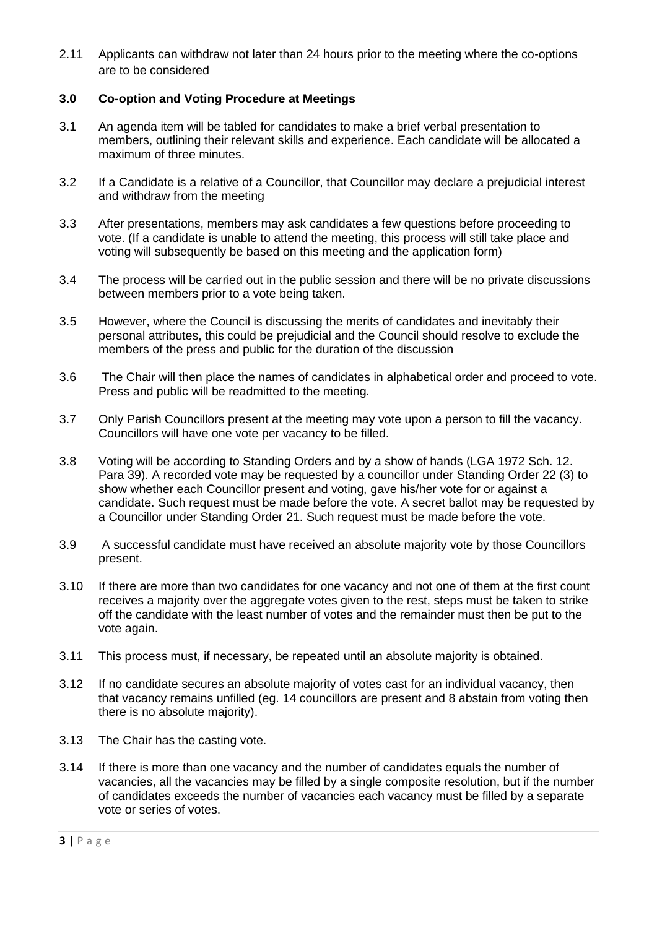2.11 Applicants can withdraw not later than 24 hours prior to the meeting where the co-options are to be considered

#### **3.0 Co-option and Voting Procedure at Meetings**

- 3.1 An agenda item will be tabled for candidates to make a brief verbal presentation to members, outlining their relevant skills and experience. Each candidate will be allocated a maximum of three minutes.
- 3.2 If a Candidate is a relative of a Councillor, that Councillor may declare a prejudicial interest and withdraw from the meeting
- 3.3 After presentations, members may ask candidates a few questions before proceeding to vote. (If a candidate is unable to attend the meeting, this process will still take place and voting will subsequently be based on this meeting and the application form)
- 3.4 The process will be carried out in the public session and there will be no private discussions between members prior to a vote being taken.
- 3.5 However, where the Council is discussing the merits of candidates and inevitably their personal attributes, this could be prejudicial and the Council should resolve to exclude the members of the press and public for the duration of the discussion
- 3.6 The Chair will then place the names of candidates in alphabetical order and proceed to vote. Press and public will be readmitted to the meeting.
- 3.7 Only Parish Councillors present at the meeting may vote upon a person to fill the vacancy. Councillors will have one vote per vacancy to be filled.
- 3.8 Voting will be according to Standing Orders and by a show of hands (LGA 1972 Sch. 12. Para 39). A recorded vote may be requested by a councillor under Standing Order 22 (3) to show whether each Councillor present and voting, gave his/her vote for or against a candidate. Such request must be made before the vote. A secret ballot may be requested by a Councillor under Standing Order 21. Such request must be made before the vote.
- 3.9 A successful candidate must have received an absolute majority vote by those Councillors present.
- 3.10 If there are more than two candidates for one vacancy and not one of them at the first count receives a majority over the aggregate votes given to the rest, steps must be taken to strike off the candidate with the least number of votes and the remainder must then be put to the vote again.
- 3.11 This process must, if necessary, be repeated until an absolute majority is obtained.
- 3.12 If no candidate secures an absolute majority of votes cast for an individual vacancy, then that vacancy remains unfilled (eg. 14 councillors are present and 8 abstain from voting then there is no absolute majority).
- 3.13 The Chair has the casting vote.
- 3.14 If there is more than one vacancy and the number of candidates equals the number of vacancies, all the vacancies may be filled by a single composite resolution, but if the number of candidates exceeds the number of vacancies each vacancy must be filled by a separate vote or series of votes.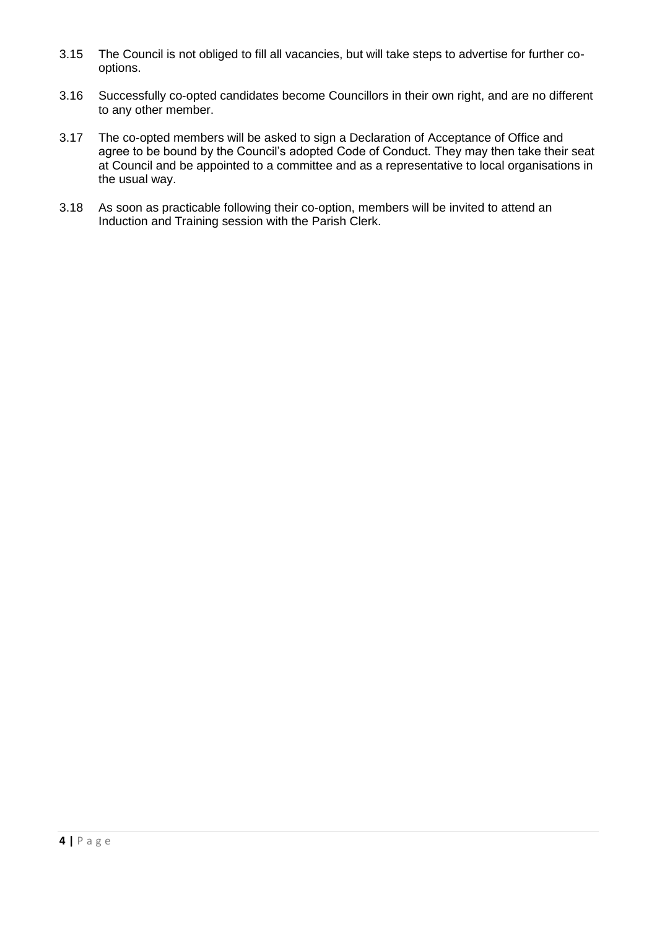- 3.15 The Council is not obliged to fill all vacancies, but will take steps to advertise for further cooptions.
- 3.16 Successfully co-opted candidates become Councillors in their own right, and are no different to any other member.
- 3.17 The co-opted members will be asked to sign a Declaration of Acceptance of Office and agree to be bound by the Council's adopted Code of Conduct. They may then take their seat at Council and be appointed to a committee and as a representative to local organisations in the usual way.
- 3.18 As soon as practicable following their co-option, members will be invited to attend an Induction and Training session with the Parish Clerk.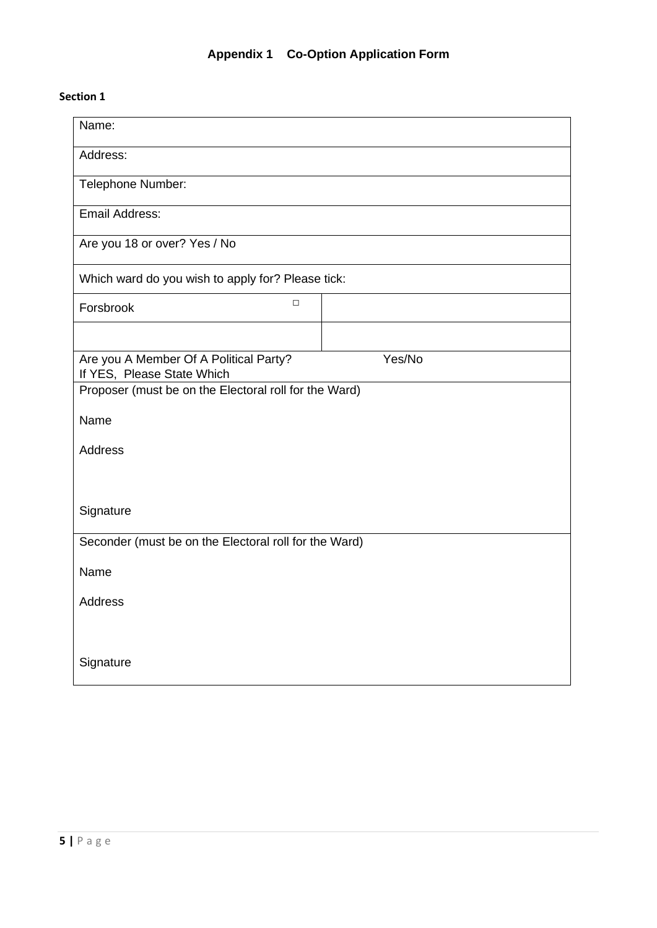## **Appendix 1 Co-Option Application Form**

#### **Section 1**

| Name:                                                                |        |  |  |  |
|----------------------------------------------------------------------|--------|--|--|--|
| Address:                                                             |        |  |  |  |
| Telephone Number:                                                    |        |  |  |  |
| <b>Email Address:</b>                                                |        |  |  |  |
| Are you 18 or over? Yes / No                                         |        |  |  |  |
| Which ward do you wish to apply for? Please tick:                    |        |  |  |  |
| $\Box$<br>Forsbrook                                                  |        |  |  |  |
|                                                                      |        |  |  |  |
| Are you A Member Of A Political Party?<br>If YES, Please State Which | Yes/No |  |  |  |
| Proposer (must be on the Electoral roll for the Ward)                |        |  |  |  |
| Name                                                                 |        |  |  |  |
| Address                                                              |        |  |  |  |
|                                                                      |        |  |  |  |
| Signature                                                            |        |  |  |  |
| Seconder (must be on the Electoral roll for the Ward)                |        |  |  |  |
| Name                                                                 |        |  |  |  |
| <b>Address</b>                                                       |        |  |  |  |
|                                                                      |        |  |  |  |
| Signature                                                            |        |  |  |  |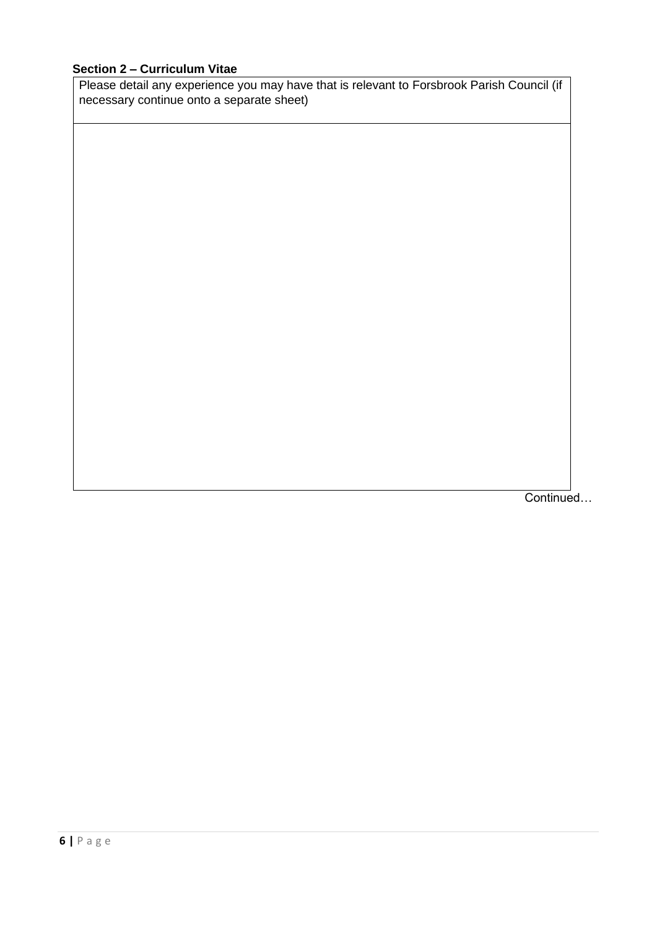#### **Section 2 – Curriculum Vitae**

Please detail any experience you may have that is relevant to Forsbrook Parish Council (if necessary continue onto a separate sheet)

Continued…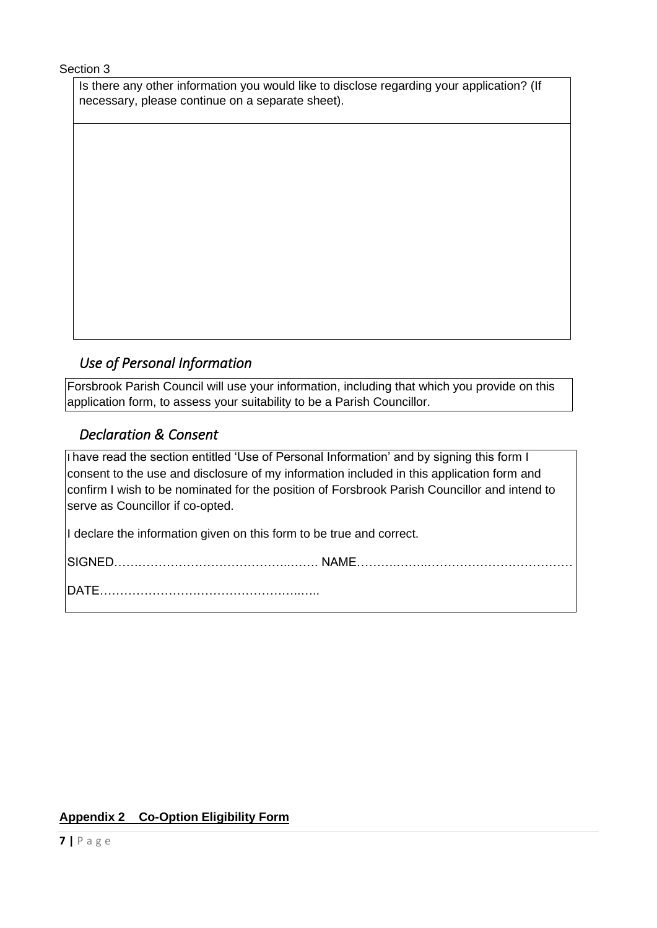#### Section 3

Is there any other information you would like to disclose regarding your application? (If necessary, please continue on a separate sheet).

## *Use of Personal Information*

Forsbrook Parish Council will use your information, including that which you provide on this application form, to assess your suitability to be a Parish Councillor.

## *Declaration & Consent*

I have read the section entitled 'Use of Personal Information' and by signing this form I consent to the use and disclosure of my information included in this application form and confirm I wish to be nominated for the position of Forsbrook Parish Councillor and intend to serve as Councillor if co-opted.

I declare the information given on this form to be true and correct.

SIGNED……………………………………..……. NAME……….……..………………………………

DATE…………………………………………..…..

### **Appendix 2 Co-Option Eligibility Form**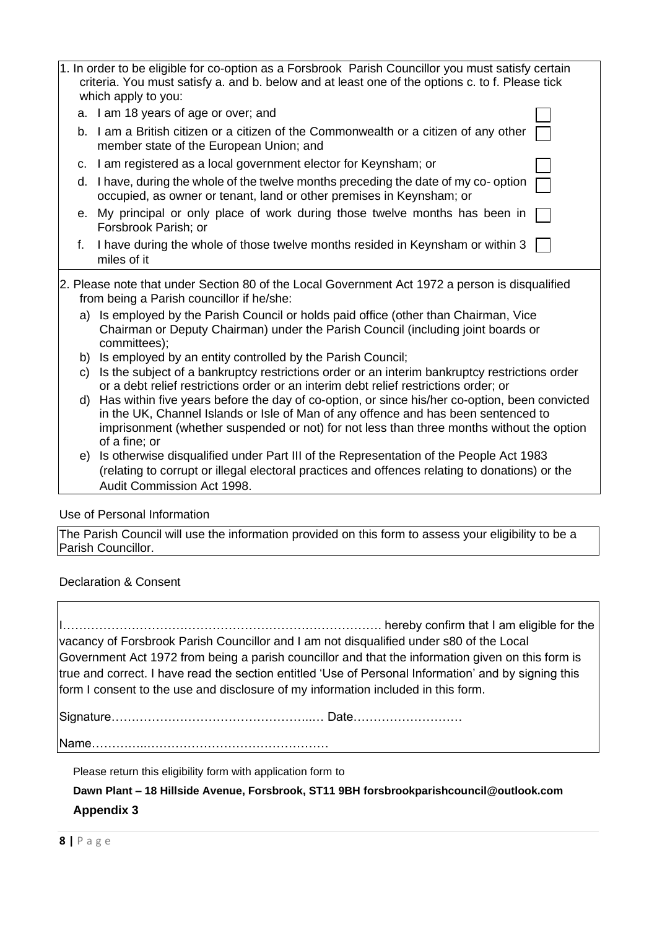| 1. In order to be eligible for co-option as a Forsbrook Parish Councillor you must satisfy certain<br>criteria. You must satisfy a. and b. below and at least one of the options c. to f. Please tick<br>which apply to you:<br>a. I am 18 years of age or over; and<br>b. I am a British citizen or a citizen of the Commonwealth or a citizen of any other<br>member state of the European Union; and<br>c. I am registered as a local government elector for Keynsham; or<br>d. I have, during the whole of the twelve months preceding the date of my co-option<br>occupied, as owner or tenant, land or other premises in Keynsham; or<br>e. My principal or only place of work during those twelve months has been in<br>Forsbrook Parish; or<br>I have during the whole of those twelve months resided in Keynsham or within 3<br>f.<br>miles of it<br>from being a Parish councillor if he/she:<br>a) Is employed by the Parish Council or holds paid office (other than Chairman, Vice<br>Chairman or Deputy Chairman) under the Parish Council (including joint boards or<br>committees);<br>b) Is employed by an entity controlled by the Parish Council;<br>Is the subject of a bankruptcy restrictions order or an interim bankruptcy restrictions order<br>C)<br>or a debt relief restrictions order or an interim debt relief restrictions order; or<br>Has within five years before the day of co-option, or since his/her co-option, been convicted<br>d)<br>in the UK, Channel Islands or Isle of Man of any offence and has been sentenced to<br>imprisonment (whether suspended or not) for not less than three months without the option<br>of a fine; or<br>Is otherwise disqualified under Part III of the Representation of the People Act 1983<br>e)<br>(relating to corrupt or illegal electoral practices and offences relating to donations) or the<br>Audit Commission Act 1998.<br>Use of Personal Information |                                                                                                |  |  |  |
|----------------------------------------------------------------------------------------------------------------------------------------------------------------------------------------------------------------------------------------------------------------------------------------------------------------------------------------------------------------------------------------------------------------------------------------------------------------------------------------------------------------------------------------------------------------------------------------------------------------------------------------------------------------------------------------------------------------------------------------------------------------------------------------------------------------------------------------------------------------------------------------------------------------------------------------------------------------------------------------------------------------------------------------------------------------------------------------------------------------------------------------------------------------------------------------------------------------------------------------------------------------------------------------------------------------------------------------------------------------------------------------------------------------------------------------------------------------------------------------------------------------------------------------------------------------------------------------------------------------------------------------------------------------------------------------------------------------------------------------------------------------------------------------------------------------------------------------------------------------------------------------------------------------------------------------------|------------------------------------------------------------------------------------------------|--|--|--|
|                                                                                                                                                                                                                                                                                                                                                                                                                                                                                                                                                                                                                                                                                                                                                                                                                                                                                                                                                                                                                                                                                                                                                                                                                                                                                                                                                                                                                                                                                                                                                                                                                                                                                                                                                                                                                                                                                                                                              |                                                                                                |  |  |  |
|                                                                                                                                                                                                                                                                                                                                                                                                                                                                                                                                                                                                                                                                                                                                                                                                                                                                                                                                                                                                                                                                                                                                                                                                                                                                                                                                                                                                                                                                                                                                                                                                                                                                                                                                                                                                                                                                                                                                              |                                                                                                |  |  |  |
|                                                                                                                                                                                                                                                                                                                                                                                                                                                                                                                                                                                                                                                                                                                                                                                                                                                                                                                                                                                                                                                                                                                                                                                                                                                                                                                                                                                                                                                                                                                                                                                                                                                                                                                                                                                                                                                                                                                                              |                                                                                                |  |  |  |
|                                                                                                                                                                                                                                                                                                                                                                                                                                                                                                                                                                                                                                                                                                                                                                                                                                                                                                                                                                                                                                                                                                                                                                                                                                                                                                                                                                                                                                                                                                                                                                                                                                                                                                                                                                                                                                                                                                                                              |                                                                                                |  |  |  |
|                                                                                                                                                                                                                                                                                                                                                                                                                                                                                                                                                                                                                                                                                                                                                                                                                                                                                                                                                                                                                                                                                                                                                                                                                                                                                                                                                                                                                                                                                                                                                                                                                                                                                                                                                                                                                                                                                                                                              |                                                                                                |  |  |  |
|                                                                                                                                                                                                                                                                                                                                                                                                                                                                                                                                                                                                                                                                                                                                                                                                                                                                                                                                                                                                                                                                                                                                                                                                                                                                                                                                                                                                                                                                                                                                                                                                                                                                                                                                                                                                                                                                                                                                              |                                                                                                |  |  |  |
|                                                                                                                                                                                                                                                                                                                                                                                                                                                                                                                                                                                                                                                                                                                                                                                                                                                                                                                                                                                                                                                                                                                                                                                                                                                                                                                                                                                                                                                                                                                                                                                                                                                                                                                                                                                                                                                                                                                                              |                                                                                                |  |  |  |
|                                                                                                                                                                                                                                                                                                                                                                                                                                                                                                                                                                                                                                                                                                                                                                                                                                                                                                                                                                                                                                                                                                                                                                                                                                                                                                                                                                                                                                                                                                                                                                                                                                                                                                                                                                                                                                                                                                                                              | 2. Please note that under Section 80 of the Local Government Act 1972 a person is disqualified |  |  |  |
|                                                                                                                                                                                                                                                                                                                                                                                                                                                                                                                                                                                                                                                                                                                                                                                                                                                                                                                                                                                                                                                                                                                                                                                                                                                                                                                                                                                                                                                                                                                                                                                                                                                                                                                                                                                                                                                                                                                                              |                                                                                                |  |  |  |
|                                                                                                                                                                                                                                                                                                                                                                                                                                                                                                                                                                                                                                                                                                                                                                                                                                                                                                                                                                                                                                                                                                                                                                                                                                                                                                                                                                                                                                                                                                                                                                                                                                                                                                                                                                                                                                                                                                                                              |                                                                                                |  |  |  |
|                                                                                                                                                                                                                                                                                                                                                                                                                                                                                                                                                                                                                                                                                                                                                                                                                                                                                                                                                                                                                                                                                                                                                                                                                                                                                                                                                                                                                                                                                                                                                                                                                                                                                                                                                                                                                                                                                                                                              |                                                                                                |  |  |  |
|                                                                                                                                                                                                                                                                                                                                                                                                                                                                                                                                                                                                                                                                                                                                                                                                                                                                                                                                                                                                                                                                                                                                                                                                                                                                                                                                                                                                                                                                                                                                                                                                                                                                                                                                                                                                                                                                                                                                              |                                                                                                |  |  |  |
|                                                                                                                                                                                                                                                                                                                                                                                                                                                                                                                                                                                                                                                                                                                                                                                                                                                                                                                                                                                                                                                                                                                                                                                                                                                                                                                                                                                                                                                                                                                                                                                                                                                                                                                                                                                                                                                                                                                                              |                                                                                                |  |  |  |
|                                                                                                                                                                                                                                                                                                                                                                                                                                                                                                                                                                                                                                                                                                                                                                                                                                                                                                                                                                                                                                                                                                                                                                                                                                                                                                                                                                                                                                                                                                                                                                                                                                                                                                                                                                                                                                                                                                                                              |                                                                                                |  |  |  |
|                                                                                                                                                                                                                                                                                                                                                                                                                                                                                                                                                                                                                                                                                                                                                                                                                                                                                                                                                                                                                                                                                                                                                                                                                                                                                                                                                                                                                                                                                                                                                                                                                                                                                                                                                                                                                                                                                                                                              |                                                                                                |  |  |  |

The Parish Council will use the information provided on this form to assess your eligibility to be a Parish Councillor.

Declaration & Consent

I……………………………………………………………………. hereby confirm that I am eligible for the vacancy of Forsbrook Parish Councillor and I am not disqualified under s80 of the Local Government Act 1972 from being a parish councillor and that the information given on this form is true and correct. I have read the section entitled 'Use of Personal Information' and by signing this form I consent to the use and disclosure of my information included in this form.

Signature…………………………………………..… Date………………………

Name…………..………………………………………

Please return this eligibility form with application form to

**Dawn Plant – 18 Hillside Avenue, Forsbrook, ST11 9BH forsbrookparishcouncil@outlook.com Appendix 3**